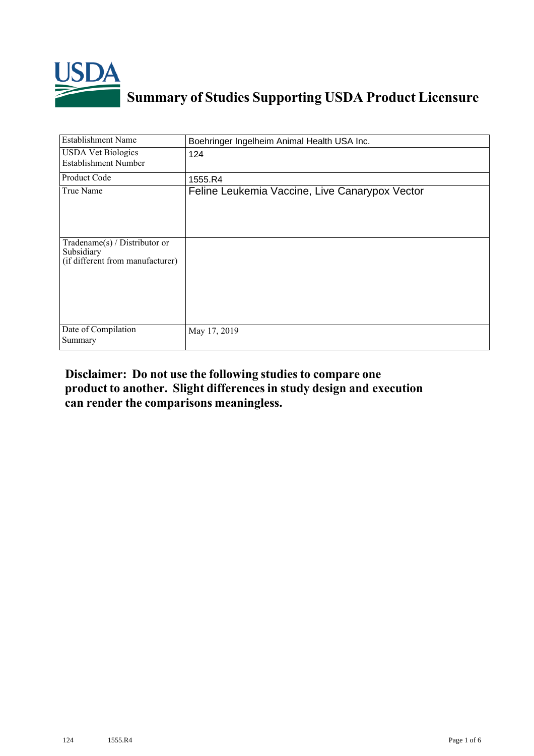

## **Summary of Studies Supporting USDA Product Licensure**

| <b>Establishment Name</b>                                                       | Boehringer Ingelheim Animal Health USA Inc.    |
|---------------------------------------------------------------------------------|------------------------------------------------|
| <b>USDA Vet Biologics</b><br><b>Establishment Number</b>                        | 124                                            |
| Product Code                                                                    | 1555.R4                                        |
| True Name                                                                       | Feline Leukemia Vaccine, Live Canarypox Vector |
| Tradename(s) / Distributor or<br>Subsidiary<br>(if different from manufacturer) |                                                |
| Date of Compilation<br>Summary                                                  | May 17, 2019                                   |

## **Disclaimer: Do not use the following studiesto compare one product to another. Slight differencesin study design and execution can render the comparisons meaningless.**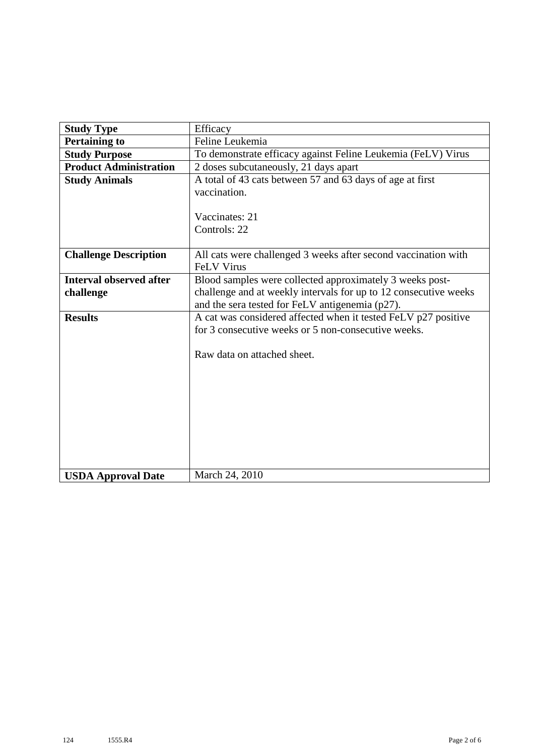| <b>Study Type</b>              | Efficacy                                                                                                          |  |  |  |  |  |  |
|--------------------------------|-------------------------------------------------------------------------------------------------------------------|--|--|--|--|--|--|
| <b>Pertaining to</b>           | Feline Leukemia                                                                                                   |  |  |  |  |  |  |
| <b>Study Purpose</b>           | To demonstrate efficacy against Feline Leukemia (FeLV) Virus                                                      |  |  |  |  |  |  |
| <b>Product Administration</b>  | 2 doses subcutaneously, 21 days apart                                                                             |  |  |  |  |  |  |
| <b>Study Animals</b>           | A total of 43 cats between 57 and 63 days of age at first                                                         |  |  |  |  |  |  |
|                                | vaccination.                                                                                                      |  |  |  |  |  |  |
|                                | Vaccinates: 21<br>Controls: 22                                                                                    |  |  |  |  |  |  |
|                                |                                                                                                                   |  |  |  |  |  |  |
| <b>Challenge Description</b>   | All cats were challenged 3 weeks after second vaccination with<br><b>FeLV Virus</b>                               |  |  |  |  |  |  |
| <b>Interval observed after</b> | Blood samples were collected approximately 3 weeks post-                                                          |  |  |  |  |  |  |
| challenge                      | challenge and at weekly intervals for up to 12 consecutive weeks                                                  |  |  |  |  |  |  |
| <b>Results</b>                 | and the sera tested for FeLV antigenemia (p27).<br>A cat was considered affected when it tested FeLV p27 positive |  |  |  |  |  |  |
|                                | for 3 consecutive weeks or 5 non-consecutive weeks.                                                               |  |  |  |  |  |  |
|                                |                                                                                                                   |  |  |  |  |  |  |
|                                | Raw data on attached sheet.                                                                                       |  |  |  |  |  |  |
|                                |                                                                                                                   |  |  |  |  |  |  |
|                                |                                                                                                                   |  |  |  |  |  |  |
|                                |                                                                                                                   |  |  |  |  |  |  |
|                                |                                                                                                                   |  |  |  |  |  |  |
|                                |                                                                                                                   |  |  |  |  |  |  |
|                                |                                                                                                                   |  |  |  |  |  |  |
|                                |                                                                                                                   |  |  |  |  |  |  |
|                                |                                                                                                                   |  |  |  |  |  |  |
| <b>USDA Approval Date</b>      | March 24, 2010                                                                                                    |  |  |  |  |  |  |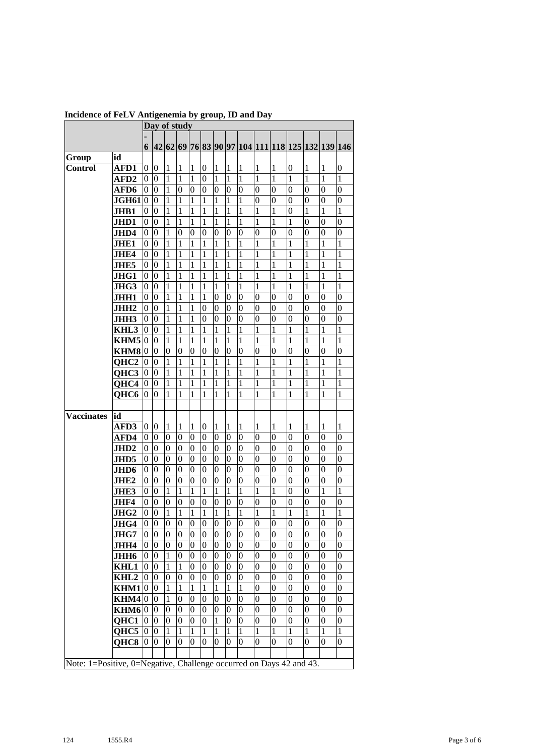|                   |                     | .<br>Day of study |                  |                  |                  |                  |                  |                  |                                                                     |                  |                  |                                         |                  |                  |                  |                  |  |
|-------------------|---------------------|-------------------|------------------|------------------|------------------|------------------|------------------|------------------|---------------------------------------------------------------------|------------------|------------------|-----------------------------------------|------------------|------------------|------------------|------------------|--|
|                   |                     |                   |                  |                  |                  |                  |                  |                  |                                                                     |                  |                  |                                         |                  |                  |                  |                  |  |
|                   |                     | 6                 | 42 62 69         |                  |                  |                  |                  |                  |                                                                     |                  |                  | 76 83 90 97 104 111 118 125 132 139 146 |                  |                  |                  |                  |  |
| Group             | id                  |                   |                  |                  |                  |                  |                  |                  |                                                                     |                  |                  |                                         |                  |                  |                  |                  |  |
| Control           | AFD1                | 0                 | 0                | 1                | 1                | 1                | 0                | 1                | 1                                                                   | 1                | 1                | 1                                       | $\boldsymbol{0}$ | 1                | 1                | 0                |  |
|                   | AFD2                | 0                 | $\overline{0}$   | $\mathbf{1}$     | $\mathbf{1}$     | 1                | $\overline{0}$   | 1                | $\mathbf{1}$                                                        | $\mathbf{1}$     | 1                | $\mathbf{1}$                            | 1                | 1                | 1                | 1                |  |
|                   | AFD6                | 0                 | $\overline{0}$   | $\mathbf{1}$     | $\overline{0}$   | 0                | $\overline{0}$   | 0                | $\overline{0}$                                                      | 0                | 0                | $\overline{0}$                          | $\overline{0}$   | $\overline{0}$   | 0                | $\overline{0}$   |  |
|                   | JGH61               | 0                 | $\overline{0}$   | $\mathbf{1}$     | $\mathbf{1}$     | 1                | 1                | 1                | $\mathbf{1}$                                                        | 1                | 0                | $\overline{0}$                          | $\overline{0}$   | $\overline{0}$   | $\overline{0}$   | $\overline{0}$   |  |
|                   | JHB1                | 0                 | $\overline{0}$   | $\mathbf{1}$     | 1                | 1                | 1                | 1                | $\mathbf{1}$                                                        | 1                | 1                | 1                                       | 0                | 1                | 1                | 1                |  |
|                   | JHD1                | 0                 | $\overline{0}$   | $\mathbf{1}$     | $\mathbf{1}$     | 1                | 1                | 1                | 1                                                                   | 1                | 1                | 1                                       | 1                | $\overline{0}$   | 0                | $\overline{0}$   |  |
|                   | JHD4                | 0                 | $\overline{0}$   | $\mathbf{1}$     | $\overline{0}$   | 0                | $\overline{0}$   | 0                | $\overline{0}$                                                      | 0                | 0                | $\overline{0}$                          | $\overline{0}$   | $\overline{0}$   | $\overline{0}$   | 0                |  |
|                   | <b>JHE1</b>         | 0                 | $\overline{0}$   | 1                | $\mathbf{1}$     | $\mathbf{1}$     | 1                | 1                | 1                                                                   | 1                | 1                | 1                                       | 1                | 1                | 1                | 1                |  |
|                   | JHE4                | 0                 | $\overline{0}$   | $\mathbf{1}$     | 1                | 1                | 1                | 1                | 1                                                                   | 1                | 1                | 1                                       | 1                | 1                | 1                | 1                |  |
|                   | <b>JHE5</b>         | 0                 | $\overline{0}$   | $\mathbf{1}$     | 1                | 1                | 1                | 1                | 1                                                                   | 1                | 1                | 1                                       | 1                | 1                | 1                | 1                |  |
|                   | JHG1                | 0                 | $\overline{0}$   | $\mathbf{1}$     | 1                | 1                | 1                | 1                | 1                                                                   | 1                | 1                | 1                                       | 1                | 1                | 1                | 1                |  |
|                   | JHG3                | 0                 | $\overline{0}$   | $\mathbf{1}$     | 1                | 1                | 1                | 1                | $\mathbf{1}$                                                        | $\mathbf{1}$     | 1                | 1                                       | 1                | 1                | 1                | 1                |  |
|                   | JHH1                | 0                 | $\overline{0}$   | $\mathbf{1}$     | 1                | 1                | 1                | $\overline{0}$   | $\overline{0}$                                                      | 0                | 0                | $\overline{0}$                          | 0                | $\overline{0}$   | 0                | $\overline{0}$   |  |
|                   | JHH <sub>2</sub>    | 0                 | $\overline{0}$   | $\mathbf{1}$     | 1                | 1                | $\overline{0}$   | $\overline{0}$   | $\overline{0}$                                                      | $\overline{0}$   | 0                | $\overline{0}$                          | $\overline{0}$   | $\overline{0}$   | $\overline{0}$   | 0                |  |
|                   | JHH3                | 0                 | $\overline{0}$   | $\mathbf{1}$     | 1                | 1                | $\overline{0}$   | 0                | $\overline{0}$                                                      | $\overline{0}$   | 0                | $\overline{0}$                          | 0                | $\overline{0}$   | $\overline{0}$   | 0                |  |
|                   | KHL3                | 0                 | $\overline{0}$   | 1                | 1                | 1                | 1                | 1                | 1                                                                   | $\mathbf{1}$     | 1                | 1                                       | 1                | 1                | 1                | 1                |  |
|                   | KHM5                | 0                 | 0                | 1                | 1                | 1                | 1                | 1                | 1                                                                   | 1                | 1                | 1                                       | 1                | 1                | 1                | 1                |  |
|                   | KHM8                | 0                 | 0                | 0                | 0                | 0                | 0                | 0                | 0                                                                   | 0                | 0                | $\overline{0}$                          | 0                | 0                | 0                | 0                |  |
|                   | QHC <sub>2</sub>    | 0                 | 0                | $\mathbf{1}$     | 1                | 1                | 1                | 1                | 1                                                                   | 1                | 1                | 1                                       | 1                | 1                | 1                | 1                |  |
|                   | QHC3                | 0                 | 0                | 1                | 1                | 1                | 1                | 1                | 1                                                                   | 1                | 1                | 1                                       | 1                | 1                | 1                | 1                |  |
|                   | QHC4                | 0                 | 0                | 1                | 1                | 1                | 1                | 1                | 1                                                                   | 1                | 1                | 1                                       | 1                | 1                | 1                | 1                |  |
|                   | QHC6                | 0                 | 0                | 1                | 1                | 1                | 1                | 1                | 1                                                                   | 1                | 1                | $\mathbf{1}$                            | 1                | 1                | 1                | 1                |  |
|                   |                     |                   |                  |                  |                  |                  |                  |                  |                                                                     |                  |                  |                                         |                  |                  |                  |                  |  |
| <b>Vaccinates</b> | id                  |                   |                  |                  |                  |                  |                  |                  |                                                                     |                  |                  |                                         |                  |                  |                  |                  |  |
|                   | AFD3                | 0                 | 0                | 1                | 1                | 1                | $\overline{0}$   | 1                | 1                                                                   | 1                | 1                | 1                                       | 1                | 1                | 1                | 1                |  |
|                   | AFD4                | 0                 | 0                | $\overline{0}$   | 0                | 0                | 0                | 0                | $\boldsymbol{0}$                                                    | $\boldsymbol{0}$ | $\overline{0}$   | 0                                       | 0                | $\overline{0}$   | 0                | $\overline{0}$   |  |
|                   | JHD <sub>2</sub>    | 0                 | 0                | $\overline{0}$   | 0                | 0                | 0                | 0                | $\boldsymbol{0}$                                                    | 0                | 0                | $\overline{0}$                          | 0                | $\overline{0}$   | 0                | $\overline{0}$   |  |
|                   | JHD5                | 0                 | $\vert 0 \vert$  | $\boldsymbol{0}$ | 0                | 0                | 0                | 0                | $\boldsymbol{0}$                                                    | 0                | $\overline{0}$   | $\overline{0}$                          | $\overline{0}$   | $\overline{0}$   | 0                | $\overline{0}$   |  |
|                   | JHD6                | 0                 | $\overline{0}$   | $\overline{0}$   | $\overline{0}$   | $\overline{0}$   | $\overline{0}$   | $\overline{0}$   | $\overline{0}$                                                      | $\overline{0}$   | $\overline{0}$   | $\overline{0}$                          | $\overline{0}$   | $\boldsymbol{0}$ | $\overline{0}$   | $\overline{0}$   |  |
|                   | JHE <sub>2</sub>    | 0                 | $\overline{0}$   | $\boldsymbol{0}$ | 0                | $\boldsymbol{0}$ | $\boldsymbol{0}$ | 0                | $\boldsymbol{0}$                                                    | $\overline{0}$   | 0                | $\boldsymbol{0}$                        | $\overline{0}$   | $\mathbf{0}$     | $\overline{0}$   | $\boldsymbol{0}$ |  |
|                   | JHE3                | 0                 | $\overline{0}$   | $\mathbf{1}$     | $\mathbf{1}$     | 1                | 1                | 1                | $\mathbf{1}$                                                        | $\mathbf{1}$     | 1                | 1                                       | $\overline{0}$   | $\mathbf{0}$     | 1                | 1                |  |
|                   | JHF4                | 0                 | 0                | 0                | 0                | 0                | 0                | 0                | $\boldsymbol{0}$                                                    | 0                | 0                | 0                                       | 0                | $\overline{0}$   | 0                | 0                |  |
|                   | JHG <sub>2</sub>    | 0                 | $\boldsymbol{0}$ | $\mathbf{1}$     | $\mathbf{1}$     | $\mathbf{1}$     | 1                | 1                | $\mathbf{1}$                                                        | $\mathbf{1}$     | 1                | $\mathbf{1}$                            | $\mathbf 1$      | 1                | 1                | 1                |  |
|                   | JHG4                | $\vert 0 \vert$   | $\vert 0 \vert$  | $\vert 0 \vert$  | $\boldsymbol{0}$ | $\vert 0 \vert$  | $\boldsymbol{0}$ | $\boldsymbol{0}$ | $\boldsymbol{0}$                                                    | $\boldsymbol{0}$ | $\vert 0 \vert$  | $\boldsymbol{0}$                        | 0                | $\overline{0}$   | $\boldsymbol{0}$ | $\boldsymbol{0}$ |  |
|                   | JHG7                | $\overline{0}$    | $\overline{0}$   | $\overline{0}$   | $\overline{0}$   | $\boldsymbol{0}$ | $\boldsymbol{0}$ | $\boldsymbol{0}$ | $\boldsymbol{0}$                                                    | $\overline{0}$   | $\mathbf{0}$     | $\overline{0}$                          | $\mathbf{0}$     | $\overline{0}$   | $\overline{0}$   | $\boldsymbol{0}$ |  |
|                   | JHH4                | $\overline{0}$    | $\vert 0 \vert$  | $\boldsymbol{0}$ | $\boldsymbol{0}$ | $\boldsymbol{0}$ | $\boldsymbol{0}$ | $\boldsymbol{0}$ | $\boldsymbol{0}$                                                    | $\boldsymbol{0}$ | $\overline{0}$   | $\boldsymbol{0}$                        | $\overline{0}$   | $\boldsymbol{0}$ | $\overline{0}$   | $\overline{0}$   |  |
|                   | <b>JHH6</b>         | 0                 | $\vert 0 \vert$  | $\mathbf{1}$     | $\boldsymbol{0}$ | $\boldsymbol{0}$ | $\boldsymbol{0}$ | $\boldsymbol{0}$ | $\boldsymbol{0}$                                                    | $\mathbf{0}$     | $\boldsymbol{0}$ | 0                                       | $\overline{0}$   | $\boldsymbol{0}$ | $\overline{0}$   | 0                |  |
|                   | KHL1                | $\boldsymbol{0}$  | $\vert 0 \vert$  | $\mathbf{1}$     | $\,1$            | $\boldsymbol{0}$ | $\boldsymbol{0}$ | $\boldsymbol{0}$ | $\boldsymbol{0}$                                                    | $\boldsymbol{0}$ | $\boldsymbol{0}$ | $\boldsymbol{0}$                        | 0                | $\boldsymbol{0}$ | $\boldsymbol{0}$ | 0                |  |
|                   | KHL <sub>2</sub>    | $\boldsymbol{0}$  | $\boldsymbol{0}$ | 0                | 0                | $\boldsymbol{0}$ | $\boldsymbol{0}$ | $\boldsymbol{0}$ | $\boldsymbol{0}$                                                    | $\boldsymbol{0}$ | $\boldsymbol{0}$ | $\boldsymbol{0}$                        | 0                | $\boldsymbol{0}$ | $\boldsymbol{0}$ | 0                |  |
|                   | $KHM1$ <sup>0</sup> |                   | $\vert 0 \vert$  | $\mathbf{1}$     | $\mathbf{1}$     | $\mathbf 1$      | $\mathbf 1$      | $\mathbf{1}$     | $\mathbf{1}$                                                        | $\mathbf{1}$     | $\boldsymbol{0}$ | $\boldsymbol{0}$                        | 0                | $\boldsymbol{0}$ | $\boldsymbol{0}$ | 0                |  |
|                   | KHM4 0              |                   | $\vert 0 \vert$  | $\mathbf{1}$     | 0                | $\boldsymbol{0}$ | $\boldsymbol{0}$ | $\boldsymbol{0}$ | $\boldsymbol{0}$                                                    | $\boldsymbol{0}$ | $\boldsymbol{0}$ | $\boldsymbol{0}$                        | 0                | $\boldsymbol{0}$ | $\overline{0}$   | 0                |  |
|                   | KHM6 0              |                   | $\boldsymbol{0}$ | $\boldsymbol{0}$ | $\boldsymbol{0}$ | $\boldsymbol{0}$ | $\boldsymbol{0}$ | $\boldsymbol{0}$ | $\boldsymbol{0}$                                                    | $\boldsymbol{0}$ | $\boldsymbol{0}$ | $\boldsymbol{0}$                        | 0                | $\boldsymbol{0}$ | $\overline{0}$   | $\overline{0}$   |  |
|                   | QHC1                | $\overline{0}$    | $\boldsymbol{0}$ | $\boldsymbol{0}$ | $\boldsymbol{0}$ | $\boldsymbol{0}$ | $\boldsymbol{0}$ | $\mathbf{1}$     | $\boldsymbol{0}$                                                    | $\boldsymbol{0}$ | $\boldsymbol{0}$ | 0                                       | 0                | $\boldsymbol{0}$ | $\boldsymbol{0}$ | 0                |  |
|                   | QHC5                | $\overline{0}$    | $\boldsymbol{0}$ | $\mathbf{1}$     | $\mathbf{1}$     | $\mathbf{1}$     | $\mathbf{1}$     | $\mathbf 1$      | $\mathbf 1$                                                         | $\mathbf{1}$     | 1                | $\mathbf{1}$                            | 1                | 1                | 1                | $\mathbf{1}$     |  |
|                   | QHC8                | $\overline{0}$    | $\vert 0 \vert$  | $\boldsymbol{0}$ | $\overline{0}$   | $\overline{0}$   | $\boldsymbol{0}$ | $\overline{0}$   | $\boldsymbol{0}$                                                    | 0                | $\overline{0}$   | $\overline{0}$                          | $\overline{0}$   | $\overline{0}$   | $\overline{0}$   | $\overline{0}$   |  |
|                   |                     |                   |                  |                  |                  |                  |                  |                  |                                                                     |                  |                  |                                         |                  |                  |                  |                  |  |
|                   |                     |                   |                  |                  |                  |                  |                  |                  | Note: 1=Positive, 0=Negative, Challenge occurred on Days 42 and 43. |                  |                  |                                         |                  |                  |                  |                  |  |

**Incidence of FeLV Antigenemia by group, ID and Day**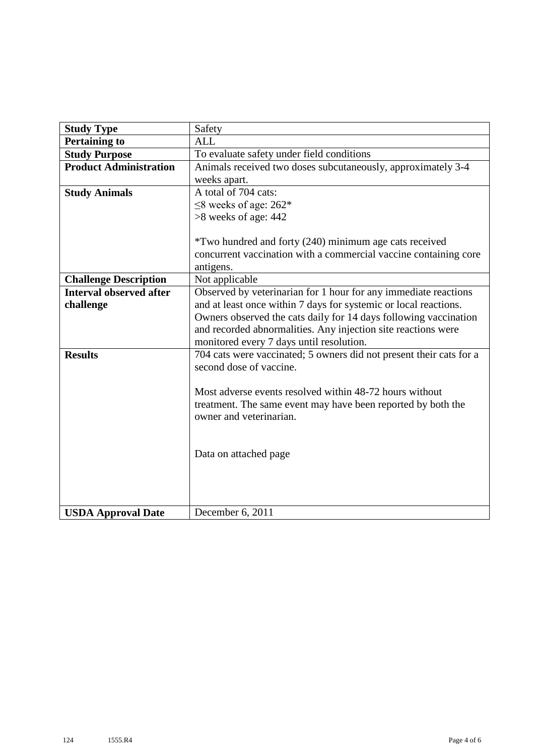| <b>Study Type</b>              | Safety                                                                                  |  |  |  |  |  |
|--------------------------------|-----------------------------------------------------------------------------------------|--|--|--|--|--|
| <b>Pertaining to</b>           | ALL                                                                                     |  |  |  |  |  |
| <b>Study Purpose</b>           | To evaluate safety under field conditions                                               |  |  |  |  |  |
| <b>Product Administration</b>  | Animals received two doses subcutaneously, approximately 3-4                            |  |  |  |  |  |
|                                | weeks apart.                                                                            |  |  |  |  |  |
| <b>Study Animals</b>           | A total of 704 cats:                                                                    |  |  |  |  |  |
|                                | $\leq$ 8 weeks of age: 262*                                                             |  |  |  |  |  |
|                                | $>8$ weeks of age: 442                                                                  |  |  |  |  |  |
|                                |                                                                                         |  |  |  |  |  |
|                                | *Two hundred and forty (240) minimum age cats received                                  |  |  |  |  |  |
|                                | concurrent vaccination with a commercial vaccine containing core                        |  |  |  |  |  |
|                                | antigens.                                                                               |  |  |  |  |  |
| <b>Challenge Description</b>   | Not applicable                                                                          |  |  |  |  |  |
| <b>Interval observed after</b> | Observed by veterinarian for 1 hour for any immediate reactions                         |  |  |  |  |  |
| challenge                      | and at least once within 7 days for systemic or local reactions.                        |  |  |  |  |  |
|                                | Owners observed the cats daily for 14 days following vaccination                        |  |  |  |  |  |
|                                | and recorded abnormalities. Any injection site reactions were                           |  |  |  |  |  |
|                                | monitored every 7 days until resolution.                                                |  |  |  |  |  |
| <b>Results</b>                 | 704 cats were vaccinated; 5 owners did not present their cats for a                     |  |  |  |  |  |
|                                | second dose of vaccine.                                                                 |  |  |  |  |  |
|                                |                                                                                         |  |  |  |  |  |
|                                | Most adverse events resolved within 48-72 hours without                                 |  |  |  |  |  |
|                                | treatment. The same event may have been reported by both the<br>owner and veterinarian. |  |  |  |  |  |
|                                |                                                                                         |  |  |  |  |  |
|                                |                                                                                         |  |  |  |  |  |
|                                | Data on attached page                                                                   |  |  |  |  |  |
|                                |                                                                                         |  |  |  |  |  |
|                                |                                                                                         |  |  |  |  |  |
|                                |                                                                                         |  |  |  |  |  |
|                                |                                                                                         |  |  |  |  |  |
| <b>USDA Approval Date</b>      | December 6, 2011                                                                        |  |  |  |  |  |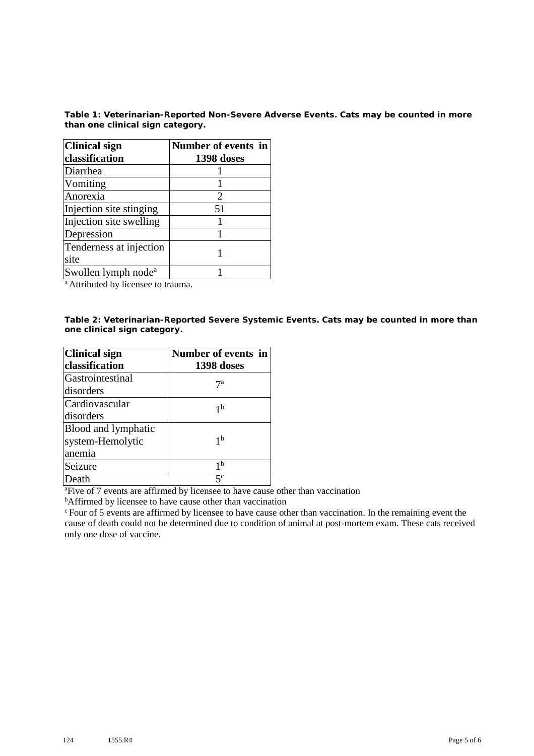**Table 1: Veterinarian-Reported Non-Severe Adverse Events. Cats may be counted in more than one clinical sign category.**

| <b>Clinical sign</b>            | Number of events in |  |  |  |  |
|---------------------------------|---------------------|--|--|--|--|
| classification                  | 1398 doses          |  |  |  |  |
| Diarrhea                        |                     |  |  |  |  |
| Vomiting                        |                     |  |  |  |  |
| Anorexia                        | 2                   |  |  |  |  |
| Injection site stinging         | 51                  |  |  |  |  |
| Injection site swelling         |                     |  |  |  |  |
| Depression                      |                     |  |  |  |  |
| Tenderness at injection         |                     |  |  |  |  |
| site                            |                     |  |  |  |  |
| Swollen lymph node <sup>a</sup> |                     |  |  |  |  |

<sup>a</sup> Attributed by licensee to trauma.

**Table 2: Veterinarian-Reported Severe Systemic Events. Cats may be counted in more than one clinical sign category.**

| <b>Clinical sign</b> | Number of events in |  |  |  |  |
|----------------------|---------------------|--|--|--|--|
| classification       | 1398 doses          |  |  |  |  |
| Gastrointestinal     | 7а                  |  |  |  |  |
| disorders            |                     |  |  |  |  |
| Cardiovascular       | 1 <sub>b</sub>      |  |  |  |  |
| disorders            |                     |  |  |  |  |
| Blood and lymphatic  |                     |  |  |  |  |
| system-Hemolytic     | 1 <sup>b</sup>      |  |  |  |  |
| anemia               |                     |  |  |  |  |
| Seizure              | 1 <sup>b</sup>      |  |  |  |  |
| Death                | $5^{\rm c}$         |  |  |  |  |

<sup>a</sup> Five of 7 events are affirmed by licensee to have cause other than vaccination

<sup>b</sup>Affirmed by licensee to have cause other than vaccination

<sup>c</sup> Four of 5 events are affirmed by licensee to have cause other than vaccination. In the remaining event the cause of death could not be determined due to condition of animal at post-mortem exam. These cats received only one dose of vaccine.